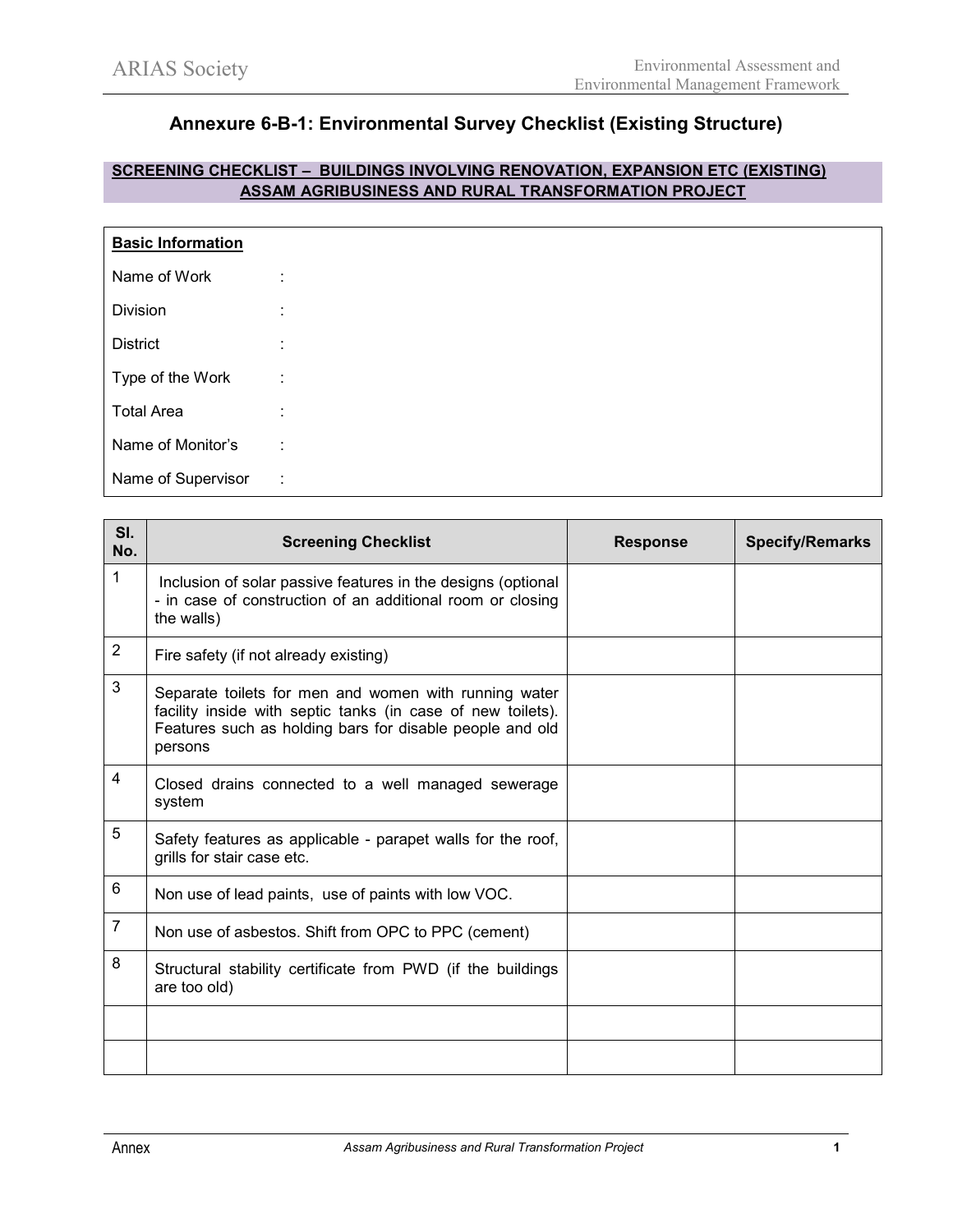## **Annexure 6-B-1: Environmental Survey Checklist (Existing Structure)**

## **SCREENING CHECKLIST – BUILDINGS INVOLVING RENOVATION, EXPANSION ETC (EXISTING) ASSAM AGRIBUSINESS AND RURAL TRANSFORMATION PROJECT**

| <b>Basic Information</b> |                    |  |  |
|--------------------------|--------------------|--|--|
| Name of Work             | ٠                  |  |  |
| Division                 | $\mathbf{r}$       |  |  |
| <b>District</b>          | ٠.<br>$\mathbf{r}$ |  |  |
| Type of the Work         | ÷                  |  |  |
| <b>Total Area</b>        | ٠                  |  |  |
| Name of Monitor's        | ٠<br>÷.            |  |  |
| Name of Supervisor       | ÷                  |  |  |

| SI.<br>No.     | <b>Screening Checklist</b>                                                                                                                                                                  | <b>Response</b> | <b>Specify/Remarks</b> |
|----------------|---------------------------------------------------------------------------------------------------------------------------------------------------------------------------------------------|-----------------|------------------------|
| 1              | Inclusion of solar passive features in the designs (optional<br>- in case of construction of an additional room or closing<br>the walls)                                                    |                 |                        |
| $\overline{2}$ | Fire safety (if not already existing)                                                                                                                                                       |                 |                        |
| 3              | Separate toilets for men and women with running water<br>facility inside with septic tanks (in case of new toilets).<br>Features such as holding bars for disable people and old<br>persons |                 |                        |
| 4              | Closed drains connected to a well managed sewerage<br>system                                                                                                                                |                 |                        |
| 5              | Safety features as applicable - parapet walls for the roof,<br>grills for stair case etc.                                                                                                   |                 |                        |
| 6              | Non use of lead paints, use of paints with low VOC.                                                                                                                                         |                 |                        |
| $\overline{7}$ | Non use of asbestos. Shift from OPC to PPC (cement)                                                                                                                                         |                 |                        |
| 8              | Structural stability certificate from PWD (if the buildings<br>are too old)                                                                                                                 |                 |                        |
|                |                                                                                                                                                                                             |                 |                        |
|                |                                                                                                                                                                                             |                 |                        |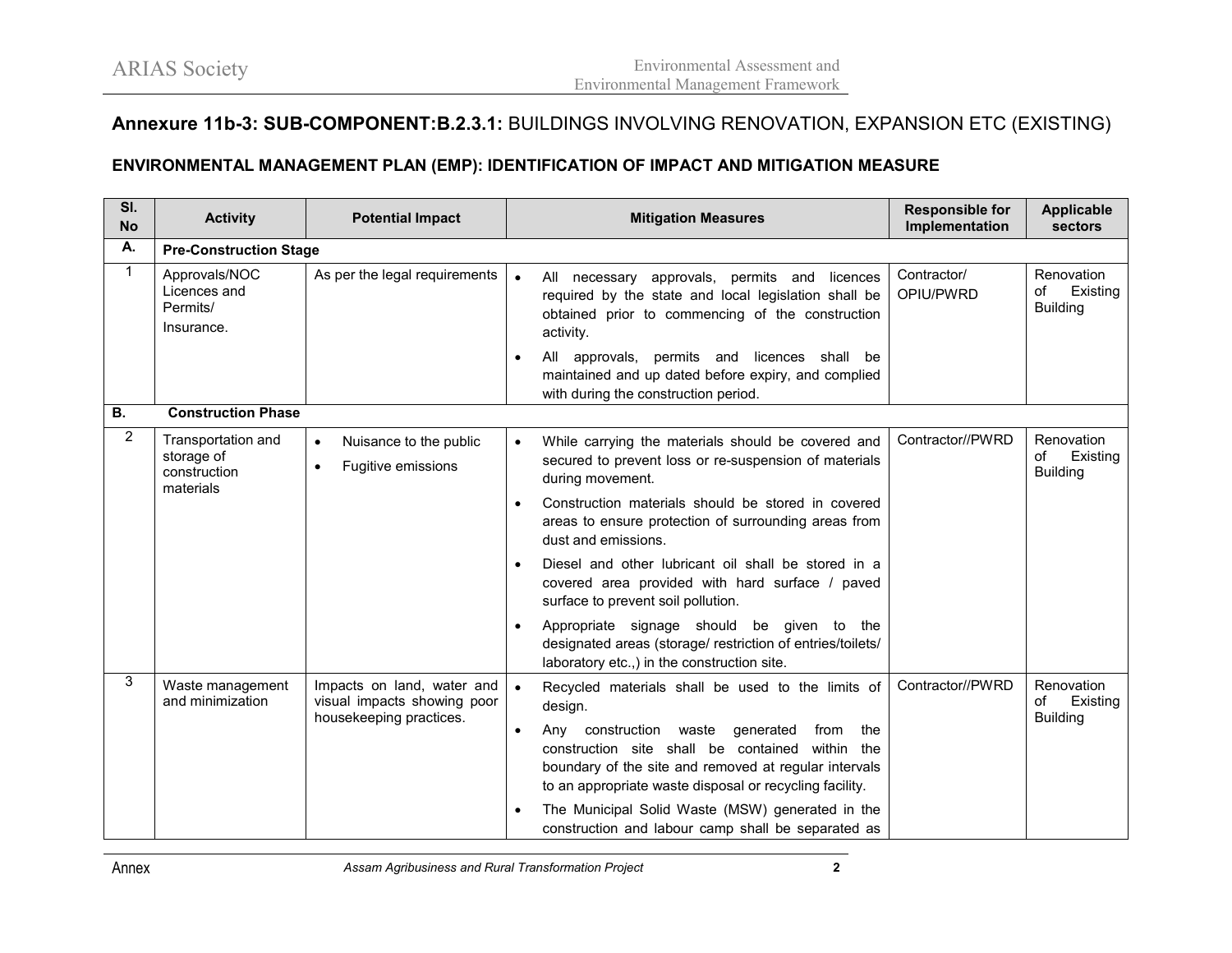## **Annexure 11b-3: SUB-COMPONENT:B.2.3.1:** BUILDINGS INVOLVING RENOVATION, EXPANSION ETC (EXISTING)

## **ENVIRONMENTAL MANAGEMENT PLAN (EMP): IDENTIFICATION OF IMPACT AND MITIGATION MEASURE**

| SI.<br><b>No</b> | <b>Activity</b>                                               | <b>Potential Impact</b>                                                              | <b>Mitigation Measures</b>                                                                                                                                                                                                   | <b>Responsible for</b><br>Implementation | <b>Applicable</b><br>sectors                    |  |  |
|------------------|---------------------------------------------------------------|--------------------------------------------------------------------------------------|------------------------------------------------------------------------------------------------------------------------------------------------------------------------------------------------------------------------------|------------------------------------------|-------------------------------------------------|--|--|
| А.               | <b>Pre-Construction Stage</b>                                 |                                                                                      |                                                                                                                                                                                                                              |                                          |                                                 |  |  |
| $\mathbf{1}$     | Approvals/NOC<br>Licences and<br>Permits/<br>Insurance.       | As per the legal requirements                                                        | All necessary approvals, permits and licences<br>$\bullet$<br>required by the state and local legislation shall be<br>obtained prior to commencing of the construction<br>activity.                                          | Contractor/<br>OPIU/PWRD                 | Renovation<br>Existing<br>of<br><b>Building</b> |  |  |
|                  |                                                               |                                                                                      | All approvals, permits and licences shall be<br>maintained and up dated before expiry, and complied<br>with during the construction period.                                                                                  |                                          |                                                 |  |  |
| <b>B.</b>        | <b>Construction Phase</b>                                     |                                                                                      |                                                                                                                                                                                                                              |                                          |                                                 |  |  |
| $\overline{2}$   | Transportation and<br>storage of<br>construction<br>materials | Nuisance to the public<br>$\bullet$<br>Fugitive emissions<br>$\bullet$               | While carrying the materials should be covered and<br>$\bullet$<br>secured to prevent loss or re-suspension of materials<br>during movement.                                                                                 | Contractor//PWRD                         | Renovation<br>Existing<br>of<br><b>Building</b> |  |  |
|                  |                                                               |                                                                                      | Construction materials should be stored in covered<br>areas to ensure protection of surrounding areas from<br>dust and emissions.                                                                                            |                                          |                                                 |  |  |
|                  |                                                               |                                                                                      | Diesel and other lubricant oil shall be stored in a<br>covered area provided with hard surface / paved<br>surface to prevent soil pollution.                                                                                 |                                          |                                                 |  |  |
|                  |                                                               |                                                                                      | Appropriate signage should be given to the<br>designated areas (storage/ restriction of entries/toilets/<br>laboratory etc.,) in the construction site.                                                                      |                                          |                                                 |  |  |
| 3                | Waste management<br>and minimization                          | Impacts on land, water and<br>visual impacts showing poor<br>housekeeping practices. | $\bullet$<br>Recycled materials shall be used to the limits of<br>design.                                                                                                                                                    | Contractor//PWRD                         | Renovation<br>of<br>Existing<br><b>Building</b> |  |  |
|                  |                                                               |                                                                                      | Any construction waste<br>generated<br>from<br>the<br>construction site shall be contained<br>within the<br>boundary of the site and removed at regular intervals<br>to an appropriate waste disposal or recycling facility. |                                          |                                                 |  |  |
|                  |                                                               |                                                                                      | The Municipal Solid Waste (MSW) generated in the<br>construction and labour camp shall be separated as                                                                                                                       |                                          |                                                 |  |  |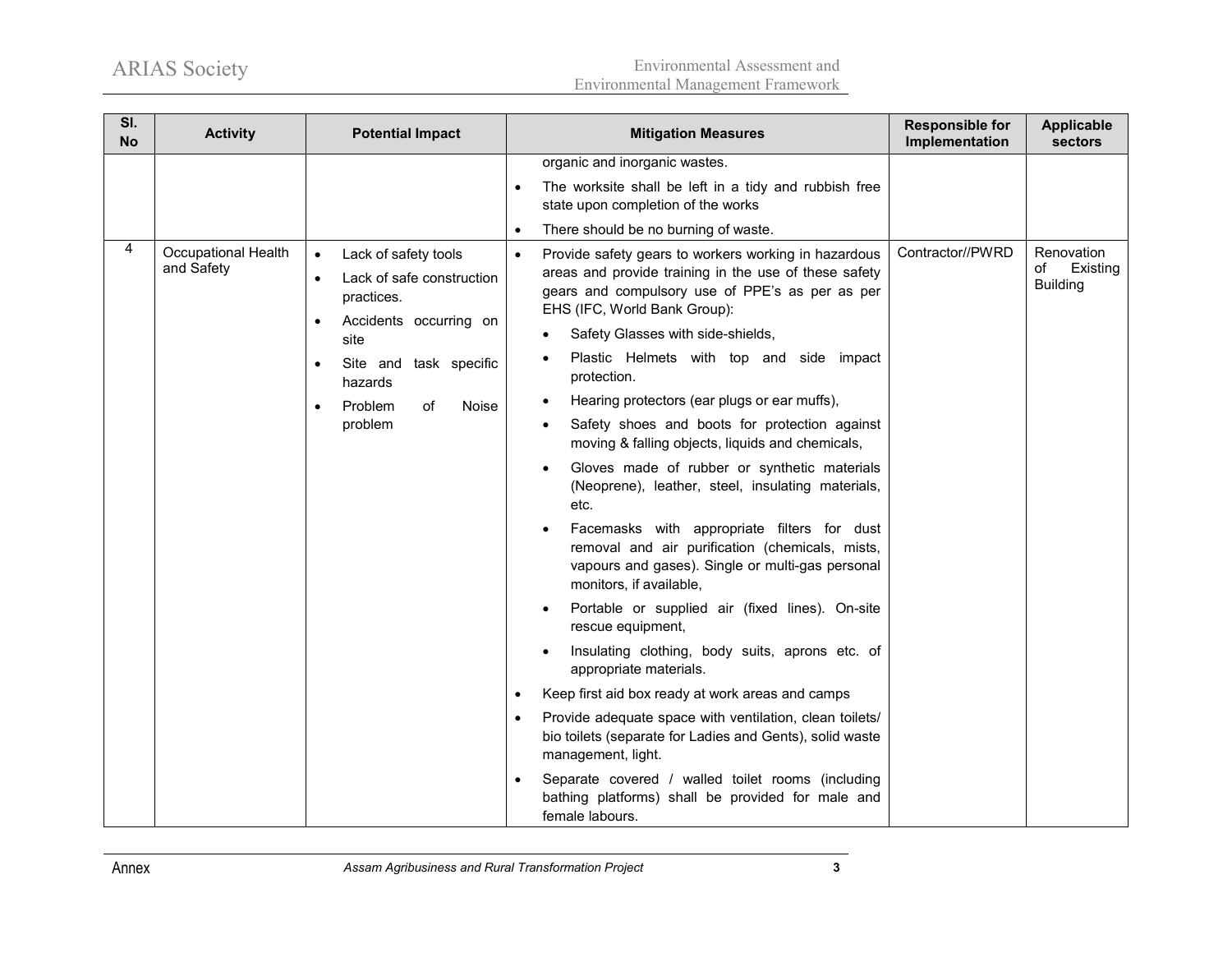ARIAS Society Environmental Assessment and Environmental Management Framework

| SI.<br><b>No</b> | <b>Activity</b>                   | <b>Potential Impact</b>                                                                                                                                                                                                         | <b>Mitigation Measures</b>                                                                                                                                                                                                                                                                                                                                                                                                                                                                                                                                                                                                                                                                                                                                                                                                                                                                                                                                                                                                                                                                                                                                                                                                                          | <b>Responsible for</b><br>Implementation | <b>Applicable</b><br><b>sectors</b>             |
|------------------|-----------------------------------|---------------------------------------------------------------------------------------------------------------------------------------------------------------------------------------------------------------------------------|-----------------------------------------------------------------------------------------------------------------------------------------------------------------------------------------------------------------------------------------------------------------------------------------------------------------------------------------------------------------------------------------------------------------------------------------------------------------------------------------------------------------------------------------------------------------------------------------------------------------------------------------------------------------------------------------------------------------------------------------------------------------------------------------------------------------------------------------------------------------------------------------------------------------------------------------------------------------------------------------------------------------------------------------------------------------------------------------------------------------------------------------------------------------------------------------------------------------------------------------------------|------------------------------------------|-------------------------------------------------|
|                  |                                   |                                                                                                                                                                                                                                 | organic and inorganic wastes.<br>The worksite shall be left in a tidy and rubbish free<br>state upon completion of the works<br>There should be no burning of waste.                                                                                                                                                                                                                                                                                                                                                                                                                                                                                                                                                                                                                                                                                                                                                                                                                                                                                                                                                                                                                                                                                |                                          |                                                 |
| 4                | Occupational Health<br>and Safety | Lack of safety tools<br>$\bullet$<br>Lack of safe construction<br>practices.<br>Accidents occurring on<br>$\bullet$<br>site<br>Site and task specific<br>$\bullet$<br>hazards<br>Problem<br>Noise<br>of<br>$\bullet$<br>problem | Provide safety gears to workers working in hazardous<br>$\bullet$<br>areas and provide training in the use of these safety<br>gears and compulsory use of PPE's as per as per<br>EHS (IFC, World Bank Group):<br>Safety Glasses with side-shields,<br>Plastic Helmets with top and side impact<br>protection.<br>Hearing protectors (ear plugs or ear muffs),<br>Safety shoes and boots for protection against<br>moving & falling objects, liquids and chemicals,<br>Gloves made of rubber or synthetic materials<br>(Neoprene), leather, steel, insulating materials,<br>etc.<br>Facemasks with appropriate filters for dust<br>removal and air purification (chemicals, mists,<br>vapours and gases). Single or multi-gas personal<br>monitors, if available,<br>Portable or supplied air (fixed lines). On-site<br>rescue equipment,<br>Insulating clothing, body suits, aprons etc. of<br>appropriate materials.<br>Keep first aid box ready at work areas and camps<br>Provide adequate space with ventilation, clean toilets/<br>bio toilets (separate for Ladies and Gents), solid waste<br>management, light.<br>Separate covered / walled toilet rooms (including<br>bathing platforms) shall be provided for male and<br>female labours. | Contractor//PWRD                         | Renovation<br>Existing<br>of<br><b>Building</b> |